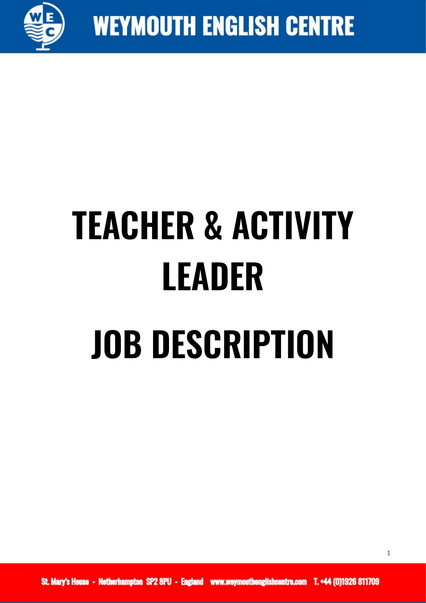

## **TEACHER & ACTIVITY LEADER JOB DESCRIPTION**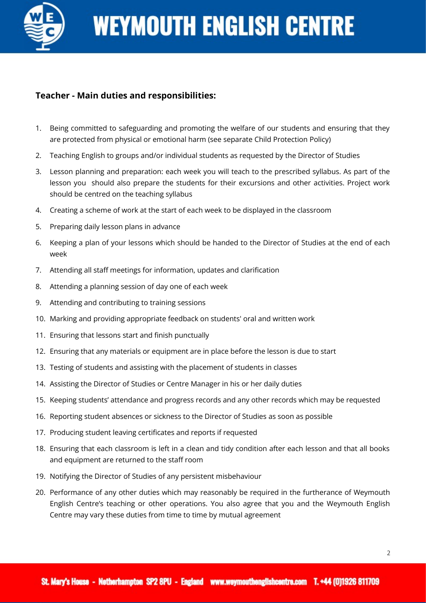

## **Teacher - Main duties and responsibilities:**

- 1. Being committed to safeguarding and promoting the welfare of our students and ensuring that they are protected from physical or emotional harm (see separate Child Protection Policy)
- 2. Teaching English to groups and/or individual students as requested by the Director of Studies
- 3. Lesson planning and preparation: each week you will teach to the prescribed syllabus. As part of the lesson you should also prepare the students for their excursions and other activities. Project work should be centred on the teaching syllabus
- 4. Creating a scheme of work at the start of each week to be displayed in the classroom
- 5. Preparing daily lesson plans in advance
- 6. Keeping a plan of your lessons which should be handed to the Director of Studies at the end of each week
- 7. Attending all staff meetings for information, updates and clarification
- 8. Attending a planning session of day one of each week
- 9. Attending and contributing to training sessions
- 10. Marking and providing appropriate feedback on students' oral and written work
- 11. Ensuring that lessons start and finish punctually
- 12. Ensuring that any materials or equipment are in place before the lesson is due to start
- 13. Testing of students and assisting with the placement of students in classes
- 14. Assisting the Director of Studies or Centre Manager in his or her daily duties
- 15. Keeping students' attendance and progress records and any other records which may be requested
- 16. Reporting student absences or sickness to the Director of Studies as soon as possible
- 17. Producing student leaving certificates and reports if requested
- 18. Ensuring that each classroom is left in a clean and tidy condition after each lesson and that all books and equipment are returned to the staff room
- 19. Notifying the Director of Studies of any persistent misbehaviour
- 20. Performance of any other duties which may reasonably be required in the furtherance of Weymouth English Centre's teaching or other operations. You also agree that you and the Weymouth English Centre may vary these duties from time to time by mutual agreement